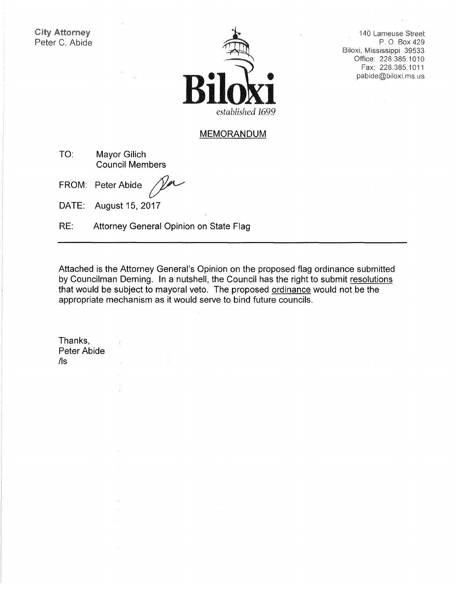City Attorney Peter C. Abide



140 Lameuse Street P. 0. Box 429 Biloxi, Mississippi 39533 Office: 228.385.1010 Fax: 228.385.1011 pabide@biloxi. ms. us

### **MEMORANDUM**

**TO: Mayor Gilich Council Members** 

FROM: Peter Abide

**DATE: August 15, 2017** 

**RE: Attorney General Opinion on State Flag** 

**Attached is the Attorney General's Opinion on the proposed flag ordinance submitted by Councilman Deming. In a nutshell, the Council has the right to submit resolutions that would be subject to mayoral veto. The proposed ordinance would not be the appropriate mechanism as it would serve to bind future councils.** 

**Thanks, Peter Abide**  /Is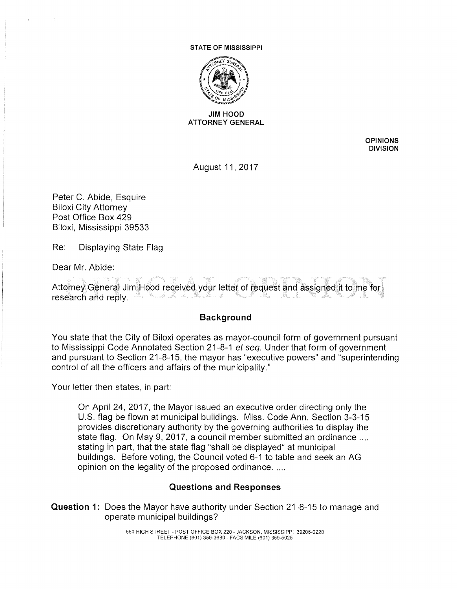#### STATE OF MISSISSIPPI



#### JIM HOOD ATTORNEY GENERAL

**OPINIONS DIVISION** 

August 11, 2017

Peter C. Abide, Esquire Biloxi City Attorney Post Office Box 429 Biloxi, Mississippi 39533

Re: Displaying State Flag

Dear Mr. Abide:

Attorney General Jim Hood received your letter of request and assigned it to me for research and reply.

# **Background**

You state that the City of Biloxi operates as mayor-council form of government pursuant to Mississippi Code Annotated Section 21-8-1 et seq. Under that form of government and pursuant to Section 21-8-15, the mayor has "executive powers" and "superintending control of all the officers and affairs of the municipality."

Your letter then states, in part:

On April 24, 2017, the Mayor issued an executive order directing only the U.S. flag be flown at municipal buildings. Miss. Code Ann. Section 3-3-15 provides discretionary authority by the governing authorities to display the state flag. On May 9, 2017, a council member submitted an ordinance .... stating in part, that the state flag "shall be displayed" at municipal buildings. Before voting, the Council voted 6-1 to table and seek an AG opinion on the legality of the proposed ordinance. ....

# **Questions and Responses**

**Question 1:** Does the Mayor have authority under Section 21-8-15 to manage and operate municipal buildings?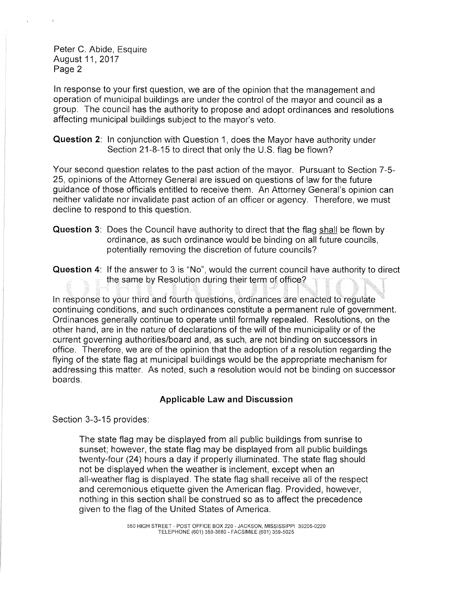Peter C. Abide, Esquire August 11, 2017 Page 2

In response to your first question, we are of the opinion that the management and operation of municipal buildings are under the control of the mayor and council as a group. The council has the authority to propose and adopt ordinances and resolutions affecting municipal buildings subject to the mayor's veto.

**Question** 2: In conjunction with Question 1, does the Mayor have authority under Section 21-8-15 to direct that only the U.S. flag be flown?

Your second question relates to the past action of the mayor. Pursuant to Section 7-5- 25, opinions of the Attorney General are issued on questions of law for the future guidance of those officials entitled to receive them. An Attorney General's opinion can neither validate nor invalidate past action of an officer or agency. Therefore, we must decline to respond to this question.

**Question** 3: Does the Council have authority to direct that the flag shall be flown by ordinance, as such ordinance would be binding on all future councils, potentially removing the discretion of future councils?

**Question 4:** If the answer to 3 is "No", would the current council have authority to direct the same by Resolution during their term of office?

In response to your third and fourth questions, ordinances are enacted to regulate continuing conditions, and such ordinances constitute a permanent rule of government. Ordinances generally continue to operate until formally repealed. Resolutions, on the other hand, are in the nature of declarations of the will of the municipality or of the current governing authorities/board and, as such, are not binding on successors in office. Therefore, we are of the opinion that the adoption of a resolution regarding the flying of the state flag at municipal buildings would be the appropriate mechanism for addressing this matter. As noted, such a resolution would not be binding on successor boards.

# **Applicable Law and Discussion**

Section 3-3-15 provides:

The state flag may be displayed from all public buildings from sunrise to sunset; however, the state flag may be displayed from all public buildings twenty-four (24) hours a day if properly illuminated. The state flag should not be displayed when the weather is inclement, except when an all-weather flag is displayed. The state flag shall receive all of the respect and ceremonious etiquette given the American flag. Provided, however, nothing in this section shall be construed so as to affect the precedence given to the flag of the United States of America.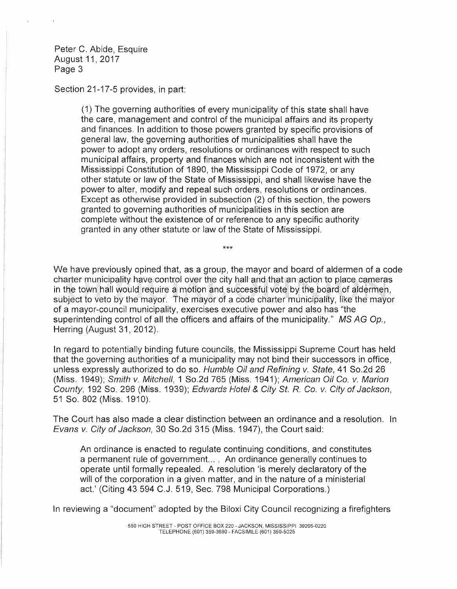Peter C. Abide, Esquire August 11, 2017 Page 3

#### Section 21-17-5 provides, in part:

(1) The governing authorities of every municipality of this state shall have the care, management and control of the municipal affairs and its property and finances. In addition to those powers granted by specific provisions of general law, the governing authorities of municipalities shall have the power to adopt any orders, resolutions or ordinances with respect to such municipal affairs, property and finances which are not inconsistent with the Mississippi Constitution of 1890, the Mississippi Code of 1972, or any other statute or law of the State of Mississippi, and shall likewise have the power to alter, modify and repeal such orders, resolutions or ordinances. Except as otherwise provided in subsection (2) of this section, the powers granted to governing authorities of municipalities in this section are complete without the existence of or reference to any specific authority granted in any other statute or law of the State of Mississippi.

We have previously opined that, as a group, the mayor and board of aldermen of a code charter municipality have control over the city hall and that an action to place cameras in the town hall would require a motion and successful vote by the board of aldermen, subject to veto by the mayor. The mayor of a code charter municipality, like the mayor of a mayor-council municipality, exercises executive power and also has "the superintending control of all the officers and affairs of the municipality." MS AG Op., Herring (August 31, 2012).

\*\*\*

In regard to potentially binding future councils, the Mississippi Supreme Court has held that the governing authorities of a municipality may not bind their successors in office, unless expressly authorized to do so. Humble Oil and Refining v. State, 41 So.2d 26 (Miss. 1949); Smith v. Mitchell, 1 So.2d 765 (Miss. 1941 ); American Oil Co. v. Marion County, 192 So. 296 (Miss. 1939); Edwards Hotel & City St. R. Co. v. City of Jackson, 51 So. 802 (Miss. 1910).

The Court has also made a clear distinction between an ordinance and a resolution. In Evans v. City of Jackson, 30 So.2d 315 (Miss. 1947), the Court said:

An ordinance is enacted to regulate continuing conditions, and constitutes a permanent rule of government... . An ordinance generally continues to operate until formally repealed. A resolution 'is merely declaratory of the will of the corporation in a given matter, and in the nature of a ministerial act.' (Citing 43 594 C.J. 519, Sec. 798 Municipal Corporations.)

In reviewing a "document" adopted by the Biloxi City Council recognizing a firefighters